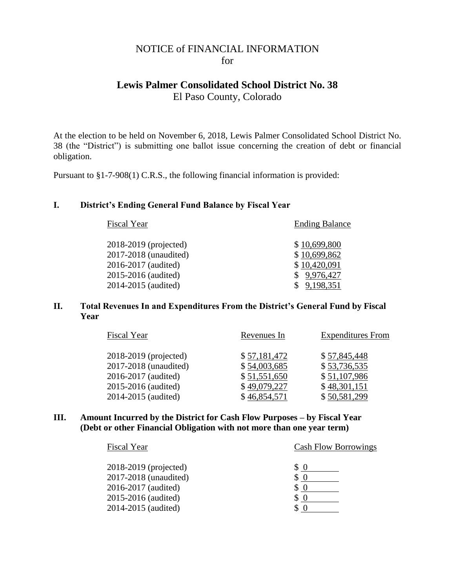# NOTICE of FINANCIAL INFORMATION for

# **Lewis Palmer Consolidated School District No. 38**

El Paso County, Colorado

At the election to be held on November 6, 2018, Lewis Palmer Consolidated School District No. 38 (the "District") is submitting one ballot issue concerning the creation of debt or financial obligation.

Pursuant to §1-7-908(1) C.R.S., the following financial information is provided:

## **I. District's Ending General Fund Balance by Fiscal Year**

| Fiscal Year           | <b>Ending Balance</b> |
|-----------------------|-----------------------|
| 2018-2019 (projected) | \$10,699,800          |
| 2017-2018 (unaudited) | \$10,699,862          |
| 2016-2017 (audited)   | \$10,420,091          |
| 2015-2016 (audited)   | \$9,976,427           |
| 2014-2015 (audited)   | 9,198,351             |
|                       |                       |

### **II. Total Revenues In and Expenditures From the District's General Fund by Fiscal Year**

| <b>Fiscal Year</b>    | Revenues In  | <b>Expenditures</b> From |
|-----------------------|--------------|--------------------------|
| 2018-2019 (projected) | \$57,181,472 | \$57,845,448             |
| 2017-2018 (unaudited) | \$54,003,685 | \$53,736,535             |
| 2016-2017 (audited)   | \$51,551,650 | \$51,107,986             |
| 2015-2016 (audited)   | \$49,079,227 | \$48,301,151             |
| 2014-2015 (audited)   | \$46,854,571 | \$50,581,299             |

#### **III. Amount Incurred by the District for Cash Flow Purposes – by Fiscal Year (Debt or other Financial Obligation with not more than one year term)**

| Fiscal Year           | <b>Cash Flow Borrowings</b> |
|-----------------------|-----------------------------|
| 2018-2019 (projected) | \$<br>0                     |
| 2017-2018 (unaudited) |                             |
| 2016-2017 (audited)   | \$                          |
| 2015-2016 (audited)   |                             |
| 2014-2015 (audited)   |                             |
|                       |                             |